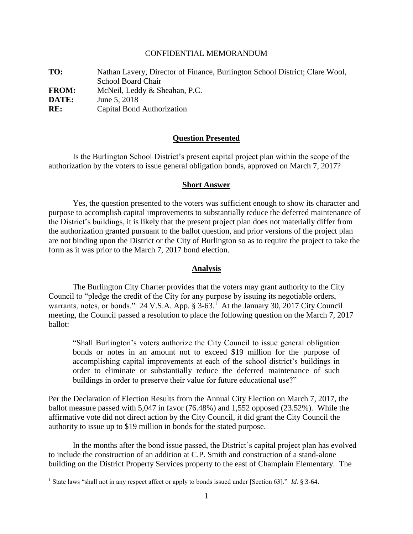### CONFIDENTIAL MEMORANDUM

| TO:          | Nathan Lavery, Director of Finance, Burlington School District; Clare Wool,<br><b>School Board Chair</b> |
|--------------|----------------------------------------------------------------------------------------------------------|
| <b>FROM:</b> | McNeil, Leddy & Sheahan, P.C.                                                                            |
| DATE:        | June 5, 2018                                                                                             |
| RE:          | Capital Bond Authorization                                                                               |

### **Question Presented**

Is the Burlington School District's present capital project plan within the scope of the authorization by the voters to issue general obligation bonds, approved on March 7, 2017?

### **Short Answer**

Yes, the question presented to the voters was sufficient enough to show its character and purpose to accomplish capital improvements to substantially reduce the deferred maintenance of the District's buildings, it is likely that the present project plan does not materially differ from the authorization granted pursuant to the ballot question, and prior versions of the project plan are not binding upon the District or the City of Burlington so as to require the project to take the form as it was prior to the March 7, 2017 bond election.

## **Analysis**

The Burlington City Charter provides that the voters may grant authority to the City Council to "pledge the credit of the City for any purpose by issuing its negotiable orders, warrants, notes, or bonds." 24 V.S.A. App.  $\S 3-63$ .<sup>1</sup> At the January 30, 2017 City Council meeting, the Council passed a resolution to place the following question on the March 7, 2017 ballot:

"Shall Burlington's voters authorize the City Council to issue general obligation bonds or notes in an amount not to exceed \$19 million for the purpose of accomplishing capital improvements at each of the school district's buildings in order to eliminate or substantially reduce the deferred maintenance of such buildings in order to preserve their value for future educational use?"

Per the Declaration of Election Results from the Annual City Election on March 7, 2017, the ballot measure passed with 5,047 in favor (76.48%) and 1,552 opposed (23.52%). While the affirmative vote did not direct action by the City Council, it did grant the City Council the authority to issue up to \$19 million in bonds for the stated purpose.

In the months after the bond issue passed, the District's capital project plan has evolved to include the construction of an addition at C.P. Smith and construction of a stand-alone building on the District Property Services property to the east of Champlain Elementary. The

 $\overline{a}$ 

<sup>&</sup>lt;sup>1</sup> State laws "shall not in any respect affect or apply to bonds issued under [Section 63]." *Id.* § 3-64.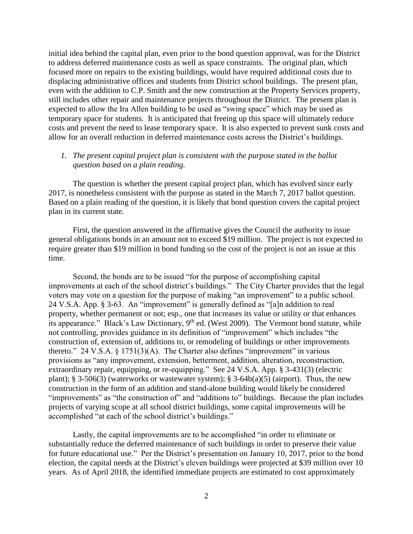initial idea behind the capital plan, even prior to the bond question approval, was for the District to address deferred maintenance costs as well as space constraints. The original plan, which focused more on repairs to the existing buildings, would have required additional costs due to displacing administrative offices and students from District school buildings. The present plan, even with the addition to C.P. Smith and the new construction at the Property Services property, still includes other repair and maintenance projects throughout the District. The present plan is expected to allow the Ira Allen building to be used as "swing space" which may be used as temporary space for students. It is anticipated that freeing up this space will ultimately reduce costs and prevent the need to lease temporary space. It is also expected to prevent sunk costs and allow for an overall reduction in deferred maintenance costs across the District's buildings.

# *1. The present capital project plan is consistent with the purpose stated in the ballot question based on a plain reading.*

The question is whether the present capital project plan, which has evolved since early 2017, is nonetheless consistent with the purpose as stated in the March 7, 2017 ballot question. Based on a plain reading of the question, it is likely that bond question covers the capital project plan in its current state.

First, the question answered in the affirmative gives the Council the authority to issue general obligations bonds in an amount not to exceed \$19 million. The project is not expected to require greater than \$19 million in bond funding so the cost of the project is not an issue at this time.

Second, the bonds are to be issued "for the purpose of accomplishing capital improvements at each of the school district's buildings." The City Charter provides that the legal voters may vote on a question for the purpose of making "an improvement" to a public school. 24 V.S.A. App. § 3-63. An "improvement" is generally defined as "[a]n addition to real property, whether permanent or not; esp., one that increases its value or utility or that enhances its appearance." Black's Law Dictionary,  $9<sup>th</sup>$  ed. (West 2009). The Vermont bond statute, while not controlling, provides guidance in its definition of "improvement" which includes "the construction of, extension of, additions to, or remodeling of buildings or other improvements thereto." 24 V.S.A.  $\S 1751(3)(A)$ . The Charter also defines "improvement" in various provisions as "any improvement, extension, betterment, addition, alteration, reconstruction, extraordinary repair, equipping, or re-equipping." See 24 V.S.A. App. § 3-431(3) (electric plant); § 3-506(3) (waterworks or wastewater system); § 3-64b(a)(5) (airport). Thus, the new construction in the form of an addition and stand-alone building would likely be considered "improvements" as "the construction of" and "additions to" buildings. Because the plan includes projects of varying scope at all school district buildings, some capital improvements will be accomplished "at each of the school district's buildings."

Lastly, the capital improvements are to be accomplished "in order to eliminate or substantially reduce the deferred maintenance of such buildings in order to preserve their value for future educational use." Per the District's presentation on January 10, 2017, prior to the bond election, the capital needs at the District's eleven buildings were projected at \$39 million over 10 years. As of April 2018, the identified immediate projects are estimated to cost approximately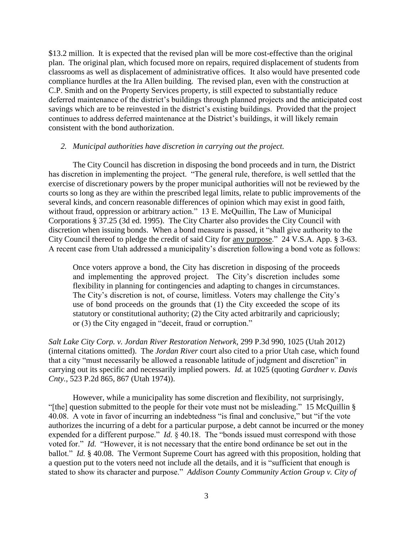\$13.2 million. It is expected that the revised plan will be more cost-effective than the original plan. The original plan, which focused more on repairs, required displacement of students from classrooms as well as displacement of administrative offices. It also would have presented code compliance hurdles at the Ira Allen building. The revised plan, even with the construction at C.P. Smith and on the Property Services property, is still expected to substantially reduce deferred maintenance of the district's buildings through planned projects and the anticipated cost savings which are to be reinvested in the district's existing buildings. Provided that the project continues to address deferred maintenance at the District's buildings, it will likely remain consistent with the bond authorization.

### *2. Municipal authorities have discretion in carrying out the project.*

The City Council has discretion in disposing the bond proceeds and in turn, the District has discretion in implementing the project. "The general rule, therefore, is well settled that the exercise of discretionary powers by the proper municipal authorities will not be reviewed by the courts so long as they are within the prescribed legal limits, relate to public improvements of the several kinds, and concern reasonable differences of opinion which may exist in good faith, without fraud, oppression or arbitrary action." 13 E. McQuillin, The Law of Municipal Corporations § 37.25 (3d ed. 1995). The City Charter also provides the City Council with discretion when issuing bonds. When a bond measure is passed, it "shall give authority to the City Council thereof to pledge the credit of said City for any purpose." 24 V.S.A. App. § 3-63. A recent case from Utah addressed a municipality's discretion following a bond vote as follows:

Once voters approve a bond, the City has discretion in disposing of the proceeds and implementing the approved project. The City's discretion includes some flexibility in planning for contingencies and adapting to changes in circumstances. The City's discretion is not, of course, limitless. Voters may challenge the City's use of bond proceeds on the grounds that (1) the City exceeded the scope of its statutory or constitutional authority; (2) the City acted arbitrarily and capriciously; or (3) the City engaged in "deceit, fraud or corruption."

*Salt Lake City Corp. v. Jordan River Restoration Network*, 299 P.3d 990, 1025 (Utah 2012) (internal citations omitted). The *Jordan River* court also cited to a prior Utah case, which found that a city "must necessarily be allowed a reasonable latitude of judgment and discretion" in carrying out its specific and necessarily implied powers. *Id.* at 1025 (quoting *Gardner v. Davis Cnty.*, 523 P.2d 865, 867 (Utah 1974)).

However, while a municipality has some discretion and flexibility, not surprisingly, "[the] question submitted to the people for their vote must not be misleading." 15 McQuillin § 40.08. A vote in favor of incurring an indebtedness "is final and conclusive," but "if the vote authorizes the incurring of a debt for a particular purpose, a debt cannot be incurred or the money expended for a different purpose." *Id.* § 40.18. The "bonds issued must correspond with those voted for." *Id.* "However, it is not necessary that the entire bond ordinance be set out in the ballot." *Id.* § 40.08. The Vermont Supreme Court has agreed with this proposition, holding that a question put to the voters need not include all the details, and it is "sufficient that enough is stated to show its character and purpose." *Addison County Community Action Group v. City of*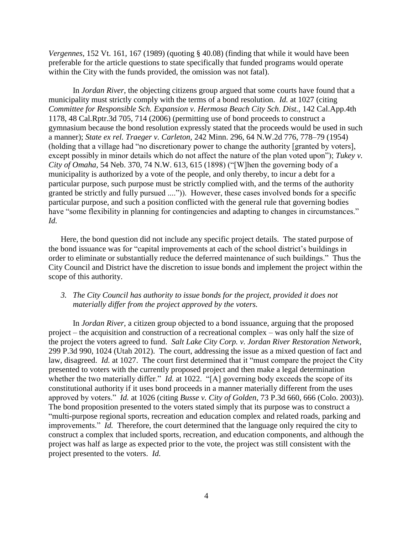*Vergennes*, 152 Vt. 161, 167 (1989) (quoting § 40.08) (finding that while it would have been preferable for the article questions to state specifically that funded programs would operate within the City with the funds provided, the omission was not fatal).

In *Jordan River*, the objecting citizens group argued that some courts have found that a municipality must strictly comply with the terms of a bond resolution. *Id.* at 1027 (citing *Committee for Responsible Sch. Expansion v. Hermosa Beach City Sch. Dist.,* 142 Cal.App.4th 1178, 48 Cal.Rptr.3d 705, 714 (2006) (permitting use of bond proceeds to construct a gymnasium because the bond resolution expressly stated that the proceeds would be used in such a manner); *State ex rel. Traeger v. Carleton,* 242 Minn. 296, 64 N.W.2d 776, 778–79 (1954) (holding that a village had "no discretionary power to change the authority [granted by voters], except possibly in minor details which do not affect the nature of the plan voted upon"); *Tukey v. City of Omaha,* 54 Neb. 370, 74 N.W. 613, 615 (1898) ("[W]hen the governing body of a municipality is authorized by a vote of the people, and only thereby, to incur a debt for a particular purpose, such purpose must be strictly complied with, and the terms of the authority granted be strictly and fully pursued ....")). However, these cases involved bonds for a specific particular purpose, and such a position conflicted with the general rule that governing bodies have "some flexibility in planning for contingencies and adapting to changes in circumstances." *Id.*

Here, the bond question did not include any specific project details. The stated purpose of the bond issuance was for "capital improvements at each of the school district's buildings in order to eliminate or substantially reduce the deferred maintenance of such buildings." Thus the City Council and District have the discretion to issue bonds and implement the project within the scope of this authority.

# *3. The City Council has authority to issue bonds for the project, provided it does not materially differ from the project approved by the voters.*

In *Jordan River*, a citizen group objected to a bond issuance, arguing that the proposed project – the acquisition and construction of a recreational complex – was only half the size of the project the voters agreed to fund. *Salt Lake City Corp. v. Jordan River Restoration Network*, 299 P.3d 990, 1024 (Utah 2012). The court, addressing the issue as a mixed question of fact and law, disagreed. *Id.* at 1027. The court first determined that it "must compare the project the City presented to voters with the currently proposed project and then make a legal determination whether the two materially differ." *Id.* at 1022. "[A] governing body exceeds the scope of its constitutional authority if it uses bond proceeds in a manner materially different from the uses approved by voters." *Id.* at 1026 (citing *Busse v. City of Golden*, 73 P.3d 660, 666 (Colo. 2003)). The bond proposition presented to the voters stated simply that its purpose was to construct a "multi-purpose regional sports, recreation and education complex and related roads, parking and improvements." *Id.* Therefore, the court determined that the language only required the city to construct a complex that included sports, recreation, and education components, and although the project was half as large as expected prior to the vote, the project was still consistent with the project presented to the voters. *Id.*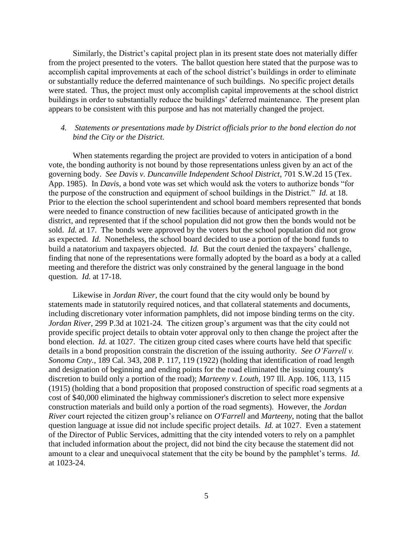Similarly, the District's capital project plan in its present state does not materially differ from the project presented to the voters. The ballot question here stated that the purpose was to accomplish capital improvements at each of the school district's buildings in order to eliminate or substantially reduce the deferred maintenance of such buildings. No specific project details were stated. Thus, the project must only accomplish capital improvements at the school district buildings in order to substantially reduce the buildings' deferred maintenance. The present plan appears to be consistent with this purpose and has not materially changed the project.

# *4. Statements or presentations made by District officials prior to the bond election do not bind the City or the District.*

When statements regarding the project are provided to voters in anticipation of a bond vote, the bonding authority is not bound by those representations unless given by an act of the governing body. *See Davis v. Duncanville Independent School District*, 701 S.W.2d 15 (Tex. App. 1985). In *Davis*, a bond vote was set which would ask the voters to authorize bonds "for the purpose of the construction and equipment of school buildings in the District." *Id.* at 18. Prior to the election the school superintendent and school board members represented that bonds were needed to finance construction of new facilities because of anticipated growth in the district, and represented that if the school population did not grow then the bonds would not be sold. *Id.* at 17. The bonds were approved by the voters but the school population did not grow as expected. *Id.* Nonetheless, the school board decided to use a portion of the bond funds to build a natatorium and taxpayers objected. *Id.* But the court denied the taxpayers' challenge, finding that none of the representations were formally adopted by the board as a body at a called meeting and therefore the district was only constrained by the general language in the bond question. *Id.* at 17-18.

Likewise in *Jordan River*, the court found that the city would only be bound by statements made in statutorily required notices, and that collateral statements and documents, including discretionary voter information pamphlets, did not impose binding terms on the city. *Jordan River*, 299 P.3d at 1021-24. The citizen group's argument was that the city could not provide specific project details to obtain voter approval only to then change the project after the bond election. *Id.* at 1027. The citizen group cited cases where courts have held that specific details in a bond proposition constrain the discretion of the issuing authority. *See O'Farrell v. Sonoma Cnty.,* 189 Cal. 343, 208 P. 117, 119 (1922) (holding that identification of road length and designation of beginning and ending points for the road eliminated the issuing county's discretion to build only a portion of the road); *Marteeny v. Louth,* 197 Ill. App. 106, 113, 115 (1915) (holding that a bond proposition that proposed construction of specific road segments at a cost of \$40,000 eliminated the highway commissioner's discretion to select more expensive construction materials and build only a portion of the road segments). However, the *Jordan River* court rejected the citizen group's reliance on *O'Farrell* and *Marteeny*, noting that the ballot question language at issue did not include specific project details. *Id.* at 1027. Even a statement of the Director of Public Services, admitting that the city intended voters to rely on a pamphlet that included information about the project, did not bind the city because the statement did not amount to a clear and unequivocal statement that the city be bound by the pamphlet's terms. *Id.* at 1023-24.